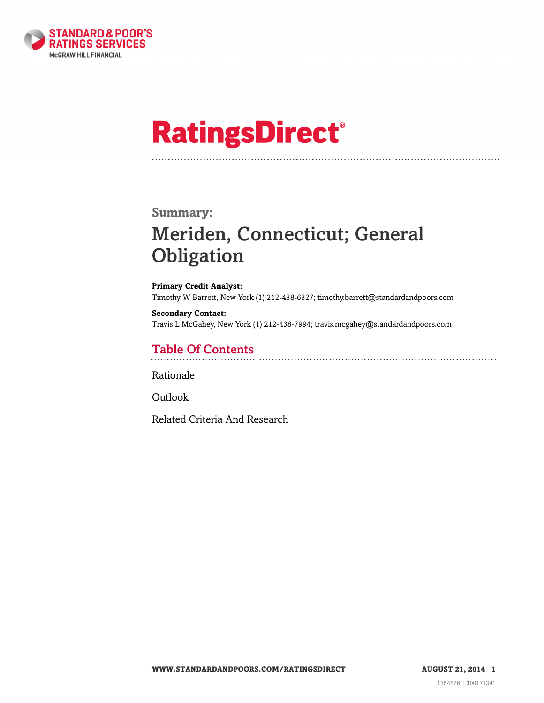

# **RatingsDirect®**

### **Summary:**

# Meriden, Connecticut; General **Obligation**

**Primary Credit Analyst:** Timothy W Barrett, New York (1) 212-438-6327; timothy.barrett@standardandpoors.com

**Secondary Contact:** Travis L McGahey, New York (1) 212-438-7994; travis.mcgahey@standardandpoors.com

# Table Of Contents

[Rationale](#page-1-0)

[Outlook](#page-3-0)

[Related Criteria And Research](#page-3-1)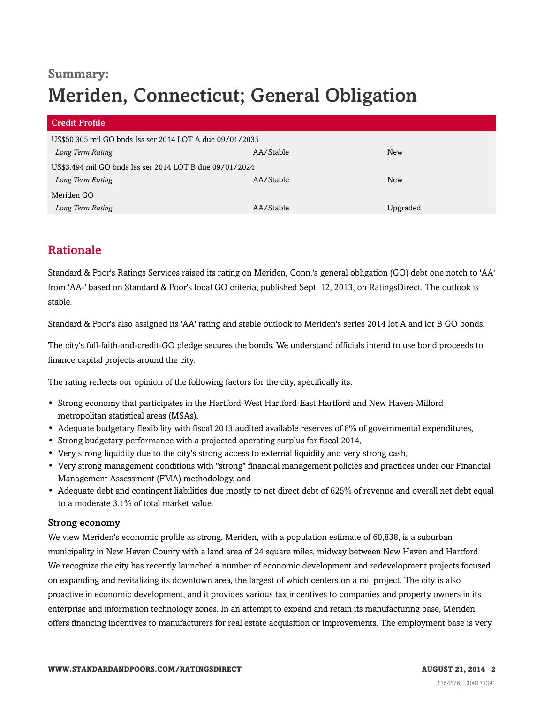# **Summary:** Meriden, Connecticut; General Obligation

| <b>Credit Profile</b>                                    |           |            |
|----------------------------------------------------------|-----------|------------|
| US\$50.305 mil GO bnds Iss ser 2014 LOT A due 09/01/2035 |           |            |
| Long Term Rating                                         | AA/Stable | <b>New</b> |
| US\$3.494 mil GO bnds Iss ser 2014 LOT B due 09/01/2024  |           |            |
| Long Term Rating                                         | AA/Stable | New        |
| Meriden GO                                               |           |            |
| Long Term Rating                                         | AA/Stable | Upgraded   |

# <span id="page-1-0"></span>Rationale

Standard & Poor's Ratings Services raised its rating on Meriden, Conn.'s general obligation (GO) debt one notch to 'AA' from 'AA-' based on Standard & Poor's local GO criteria, published Sept. 12, 2013, on RatingsDirect. The outlook is stable.

Standard & Poor's also assigned its 'AA' rating and stable outlook to Meriden's series 2014 lot A and lot B GO bonds.

The city's full-faith-and-credit-GO pledge secures the bonds. We understand officials intend to use bond proceeds to finance capital projects around the city.

The rating reflects our opinion of the following factors for the city, specifically its:

- Strong economy that participates in the Hartford-West Hartford-East Hartford and New Haven-Milford metropolitan statistical areas (MSAs),
- Adequate budgetary flexibility with fiscal 2013 audited available reserves of 8% of governmental expenditures,
- Strong budgetary performance with a projected operating surplus for fiscal 2014,
- Very strong liquidity due to the city's strong access to external liquidity and very strong cash,
- Very strong management conditions with "strong" financial management policies and practices under our Financial Management Assessment (FMA) methodology, and
- Adequate debt and contingent liabilities due mostly to net direct debt of 625% of revenue and overall net debt equal to a moderate 3.1% of total market value.

#### Strong economy

We view Meriden's economic profile as strong. Meriden, with a population estimate of 60,838, is a suburban municipality in New Haven County with a land area of 24 square miles, midway between New Haven and Hartford. We recognize the city has recently launched a number of economic development and redevelopment projects focused on expanding and revitalizing its downtown area, the largest of which centers on a rail project. The city is also proactive in economic development, and it provides various tax incentives to companies and property owners in its enterprise and information technology zones. In an attempt to expand and retain its manufacturing base, Meriden offers financing incentives to manufacturers for real estate acquisition or improvements. The employment base is very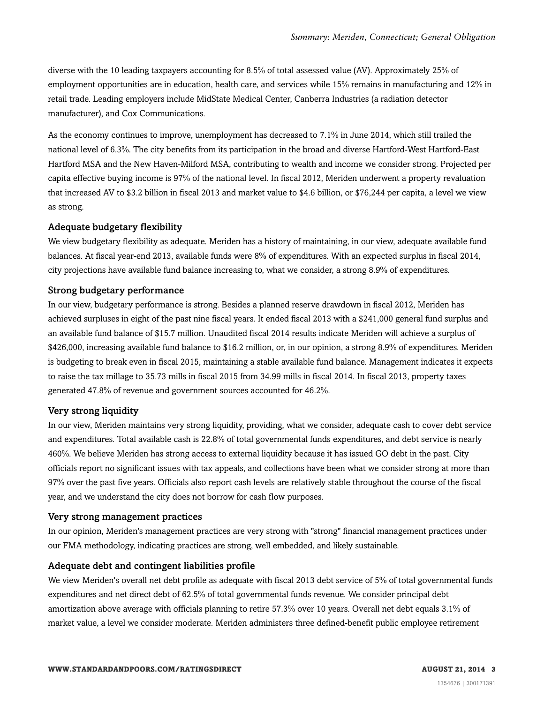diverse with the 10 leading taxpayers accounting for 8.5% of total assessed value (AV). Approximately 25% of employment opportunities are in education, health care, and services while 15% remains in manufacturing and 12% in retail trade. Leading employers include MidState Medical Center, Canberra Industries (a radiation detector manufacturer), and Cox Communications.

As the economy continues to improve, unemployment has decreased to 7.1% in June 2014, which still trailed the national level of 6.3%. The city benefits from its participation in the broad and diverse Hartford-West Hartford-East Hartford MSA and the New Haven-Milford MSA, contributing to wealth and income we consider strong. Projected per capita effective buying income is 97% of the national level. In fiscal 2012, Meriden underwent a property revaluation that increased AV to \$3.2 billion in fiscal 2013 and market value to \$4.6 billion, or \$76,244 per capita, a level we view as strong.

#### Adequate budgetary flexibility

We view budgetary flexibility as adequate. Meriden has a history of maintaining, in our view, adequate available fund balances. At fiscal year-end 2013, available funds were 8% of expenditures. With an expected surplus in fiscal 2014, city projections have available fund balance increasing to, what we consider, a strong 8.9% of expenditures.

#### Strong budgetary performance

In our view, budgetary performance is strong. Besides a planned reserve drawdown in fiscal 2012, Meriden has achieved surpluses in eight of the past nine fiscal years. It ended fiscal 2013 with a \$241,000 general fund surplus and an available fund balance of \$15.7 million. Unaudited fiscal 2014 results indicate Meriden will achieve a surplus of \$426,000, increasing available fund balance to \$16.2 million, or, in our opinion, a strong 8.9% of expenditures. Meriden is budgeting to break even in fiscal 2015, maintaining a stable available fund balance. Management indicates it expects to raise the tax millage to 35.73 mills in fiscal 2015 from 34.99 mills in fiscal 2014. In fiscal 2013, property taxes generated 47.8% of revenue and government sources accounted for 46.2%.

#### Very strong liquidity

In our view, Meriden maintains very strong liquidity, providing, what we consider, adequate cash to cover debt service and expenditures. Total available cash is 22.8% of total governmental funds expenditures, and debt service is nearly 460%. We believe Meriden has strong access to external liquidity because it has issued GO debt in the past. City officials report no significant issues with tax appeals, and collections have been what we consider strong at more than 97% over the past five years. Officials also report cash levels are relatively stable throughout the course of the fiscal year, and we understand the city does not borrow for cash flow purposes.

#### Very strong management practices

In our opinion, Meriden's management practices are very strong with "strong" financial management practices under our FMA methodology, indicating practices are strong, well embedded, and likely sustainable.

#### Adequate debt and contingent liabilities profile

We view Meriden's overall net debt profile as adequate with fiscal 2013 debt service of 5% of total governmental funds expenditures and net direct debt of 62.5% of total governmental funds revenue. We consider principal debt amortization above average with officials planning to retire 57.3% over 10 years. Overall net debt equals 3.1% of market value, a level we consider moderate. Meriden administers three defined-benefit public employee retirement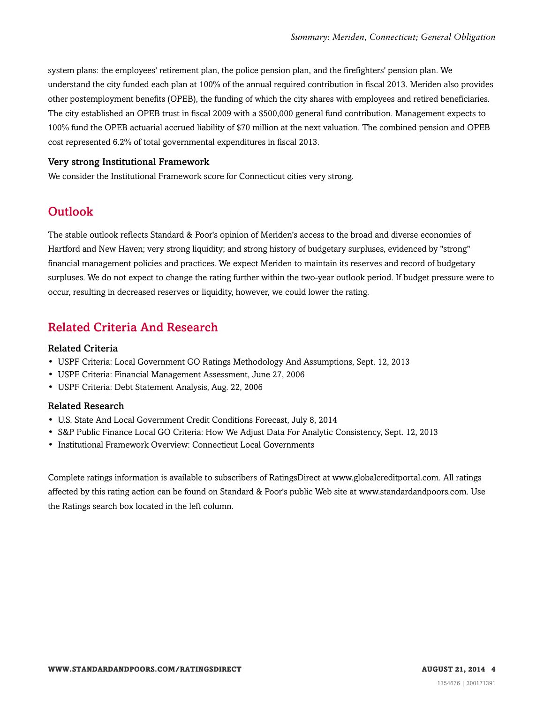system plans: the employees' retirement plan, the police pension plan, and the firefighters' pension plan. We understand the city funded each plan at 100% of the annual required contribution in fiscal 2013. Meriden also provides other postemployment benefits (OPEB), the funding of which the city shares with employees and retired beneficiaries. The city established an OPEB trust in fiscal 2009 with a \$500,000 general fund contribution. Management expects to 100% fund the OPEB actuarial accrued liability of \$70 million at the next valuation. The combined pension and OPEB cost represented 6.2% of total governmental expenditures in fiscal 2013.

#### Very strong Institutional Framework

<span id="page-3-0"></span>We consider the Institutional Framework score for Connecticut cities very strong.

# Outlook

The stable outlook reflects Standard & Poor's opinion of Meriden's access to the broad and diverse economies of Hartford and New Haven; very strong liquidity; and strong history of budgetary surpluses, evidenced by "strong" financial management policies and practices. We expect Meriden to maintain its reserves and record of budgetary surpluses. We do not expect to change the rating further within the two-year outlook period. If budget pressure were to occur, resulting in decreased reserves or liquidity, however, we could lower the rating.

# <span id="page-3-1"></span>Related Criteria And Research

#### Related Criteria

- USPF Criteria: Local Government GO Ratings Methodology And Assumptions, Sept. 12, 2013
- USPF Criteria: Financial Management Assessment, June 27, 2006
- USPF Criteria: Debt Statement Analysis, Aug. 22, 2006

#### Related Research

- U.S. State And Local Government Credit Conditions Forecast, July 8, 2014
- S&P Public Finance Local GO Criteria: How We Adjust Data For Analytic Consistency, Sept. 12, 2013
- Institutional Framework Overview: Connecticut Local Governments

Complete ratings information is available to subscribers of RatingsDirect at www.globalcreditportal.com. All ratings affected by this rating action can be found on Standard & Poor's public Web site at www.standardandpoors.com. Use the Ratings search box located in the left column.